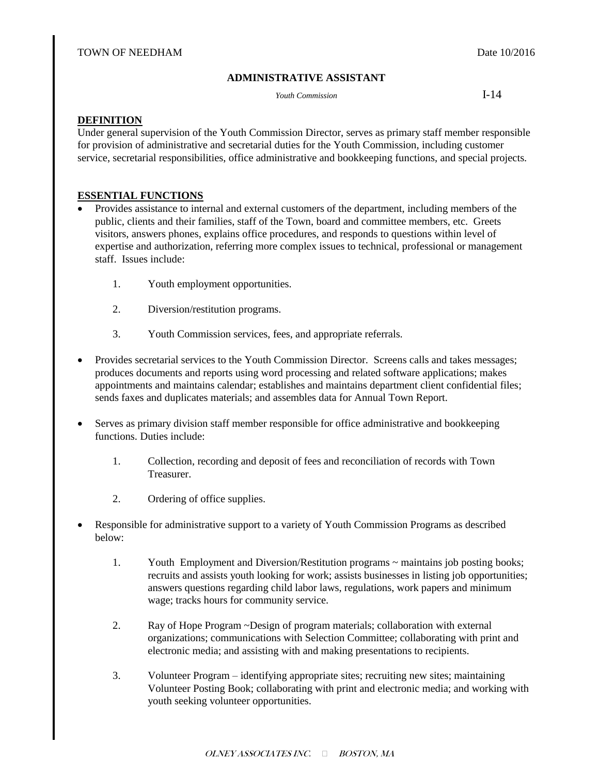# **ADMINISTRATIVE ASSISTANT**

*Youth Commission* **I-14** 

## **DEFINITION**

Under general supervision of the Youth Commission Director, serves as primary staff member responsible for provision of administrative and secretarial duties for the Youth Commission, including customer service, secretarial responsibilities, office administrative and bookkeeping functions, and special projects.

## **ESSENTIAL FUNCTIONS**

- Provides assistance to internal and external customers of the department, including members of the public, clients and their families, staff of the Town, board and committee members, etc. Greets visitors, answers phones, explains office procedures, and responds to questions within level of expertise and authorization, referring more complex issues to technical, professional or management staff. Issues include:
	- 1. Youth employment opportunities.
	- 2. Diversion/restitution programs.
	- 3. Youth Commission services, fees, and appropriate referrals.
- Provides secretarial services to the Youth Commission Director. Screens calls and takes messages; produces documents and reports using word processing and related software applications; makes appointments and maintains calendar; establishes and maintains department client confidential files; sends faxes and duplicates materials; and assembles data for Annual Town Report.
- Serves as primary division staff member responsible for office administrative and bookkeeping functions. Duties include:
	- 1. Collection, recording and deposit of fees and reconciliation of records with Town Treasurer.
	- 2. Ordering of office supplies.
- Responsible for administrative support to a variety of Youth Commission Programs as described below:
	- 1. Youth Employment and Diversion/Restitution programs ~ maintains job posting books; recruits and assists youth looking for work; assists businesses in listing job opportunities; answers questions regarding child labor laws, regulations, work papers and minimum wage; tracks hours for community service.
	- 2. Ray of Hope Program ~Design of program materials; collaboration with external organizations; communications with Selection Committee; collaborating with print and electronic media; and assisting with and making presentations to recipients.
	- 3. Volunteer Program identifying appropriate sites; recruiting new sites; maintaining Volunteer Posting Book; collaborating with print and electronic media; and working with youth seeking volunteer opportunities.